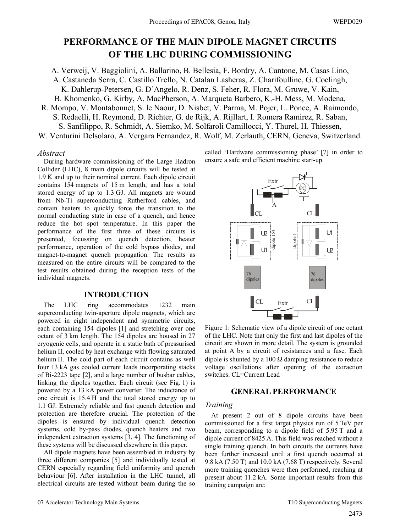# **PERFORMANCE OF THE MAIN DIPOLE MAGNET CIRCUITS OF THE LHC DURING COMMISSIONING**

A. Verweij, V. Baggiolini, A. Ballarino, B. Bellesia, F. Bordry, A. Cantone, M. Casas Lino, A. Castaneda Serra, C. Castillo Trello, N. Catalan Lasheras, Z. Charifoulline, G. Coelingh, K. Dahlerup-Petersen, G. D'Angelo, R. Denz, S. Feher, R. Flora, M. Gruwe, V. Kain, B. Khomenko, G. Kirby, A. MacPherson, A. Marqueta Barbero, K.-H. Mess, M. Modena,

R. Mompo, V. Montabonnet, S. le Naour, D. Nisbet, V. Parma, M. Pojer, L. Ponce, A. Raimondo, S. Redaelli, H. Reymond, D. Richter, G. de Rijk, A. Rijllart, I. Romera Ramirez, R. Saban, S. Sanfilippo, R. Schmidt, A. Siemko, M. Solfaroli Camillocci, Y. Thurel, H. Thiessen, W. Venturini Delsolaro, A. Vergara Fernandez, R. Wolf, M. Zerlauth, CERN, Geneva, Switzerland.

#### *Abstract*

During hardware commissioning of the Large Hadron Collider (LHC), 8 main dipole circuits will be tested at 1.9 K and up to their nominal current. Each dipole circuit contains 154 magnets of 15 m length, and has a total stored energy of up to 1.3 GJ. All magnets are wound from Nb-Ti superconducting Rutherford cables, and contain heaters to quickly force the transition to the normal conducting state in case of a quench, and hence reduce the hot spot temperature. In this paper the performance of the first three of these circuits is presented, focussing on quench detection, heater performance, operation of the cold bypass diodes, and magnet-to-magnet quench propagation. The results as measured on the entire circuits will be compared to the test results obtained during the reception tests of the individual magnets.

#### **INTRODUCTION**

The LHC ring accommodates 1232 main superconducting twin-aperture dipole magnets, which are powered in eight independent and symmetric circuits, each containing 154 dipoles [1] and stretching over one octant of 3 km length. The 154 dipoles are housed in 27 cryogenic cells, and operate in a static bath of pressurised helium II, cooled by heat exchange with flowing saturated helium II. The cold part of each circuit contains as well four 13 kA gas cooled current leads incorporating stacks of Bi-2223 tape [2], and a large number of busbar cables, linking the dipoles together. Each circuit (see Fig. 1) is powered by a 13 kA power converter. The inductance of one circuit is 15.4 H and the total stored energy up to 1.1 GJ. Extremely reliable and fast quench detection and protection are therefore crucial. The protection of the dipoles is ensured by individual quench detection systems, cold by-pass diodes, quench heaters and two independent extraction systems [3, 4]. The functioning of these systems will be discussed elsewhere in this paper.

All dipole magnets have been assembled in industry by three different companies [5] and individually tested at CERN especially regarding field uniformity and quench behaviour [6]. After installation in the LHC tunnel, all electrical circuits are tested without beam during the so called 'Hardware commissioning phase' [7] in order to ensure a safe and efficient machine start-up.



Figure 1: Schematic view of a dipole circuit of one octant of the LHC. Note that only the first and last dipoles of the circuit are shown in more detail. The system is grounded at point A by a circuit of resistances and a fuse. Each dipole is shunted by a 100  $\Omega$  damping resistance to reduce voltage oscillations after opening of the extraction switches. CL=Current Lead

## **GENERAL PERFORMANCE**

## *Training*

At present 2 out of 8 dipole circuits have been commissioned for a first target physics run of 5 TeV per beam, corresponding to a dipole field of 5.95 T and a dipole current of 8425 A. This field was reached without a single training quench. In both circuits the currents have been further increased until a first quench occurred at 9.8 kA (7.50 T) and 10.0 kA (7.68 T) respectively. Several more training quenches were then performed, reaching at present about 11.2 kA. Some important results from this training campaign are: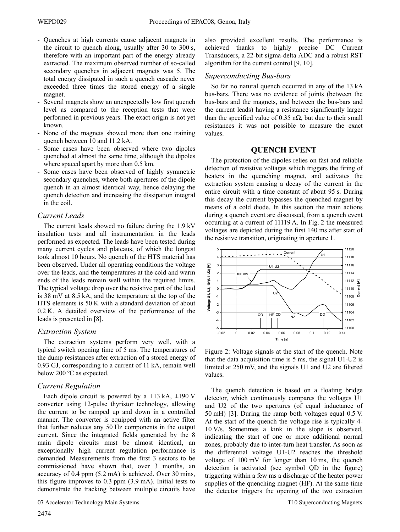- Quenches at high currents cause adjacent magnets in the circuit to quench along, usually after 30 to 300 s, therefore with an important part of the energy already extracted. The maximum observed number of so-called secondary quenches in adjacent magnets was 5. The total energy dissipated in such a quench cascade never exceeded three times the stored energy of a single magnet.
- Several magnets show an unexpectedly low first quench level as compared to the reception tests that were performed in previous years. The exact origin is not yet known.
- None of the magnets showed more than one training quench between 10 and 11.2 kA.
- Some cases have been observed where two dipoles quenched at almost the same time, although the dipoles where spaced apart by more than 0.5 km.
- Some cases have been observed of highly symmetric secondary quenches, where both apertures of the dipole quench in an almost identical way, hence delaying the quench detection and increasing the dissipation integral in the coil.

#### *Current Leads*

The current leads showed no failure during the 1.9 kV insulation tests and all instrumentation in the leads performed as expected. The leads have been tested during many current cycles and plateaus, of which the longest took almost 10 hours. No quench of the HTS material has been observed. Under all operating conditions the voltage over the leads, and the temperatures at the cold and warm ends of the leads remain well within the required limits. The typical voltage drop over the resistive part of the lead is 38 mV at 8.5 kA, and the temperature at the top of the HTS elements is 50 K with a standard deviation of about 0.2 K. A detailed overview of the performance of the leads is presented in [8].

#### *Extraction System*

The extraction systems perform very well, with a typical switch opening time of 5 ms. The temperatures of the dump resistances after extraction of a stored energy of 0.93 GJ, corresponding to a current of 11 kA, remain well below 200 ºC as expected.

## *Current Regulation*

Each dipole circuit is powered by a +13 kA,  $\pm$ 190 V converter using 12-pulse thyristor technology, allowing the current to be ramped up and down in a controlled manner. The converter is equipped with an active filter that further reduces any 50 Hz components in the output current. Since the integrated fields generated by the 8 main dipole circuits must be almost identical, an exceptionally high current regulation performance is demanded. Measurements from the first 3 sectors to be commissioned have shown that, over 3 months, an accuracy of 0.4 ppm (5.2 mA) is achieved. Over 30 mins, this figure improves to 0.3 ppm (3.9 mA). Initial tests to demonstrate the tracking between multiple circuits have also provided excellent results. The performance is achieved thanks to highly precise DC Current Transducers, a 22-bit sigma-delta ADC and a robust RST algorithm for the current control [9, 10].

#### *Superconducting Bus-bars*

So far no natural quench occurred in any of the 13 kA bus-bars. There was no evidence of joints (between the bus-bars and the magnets, and between the bus-bars and the current leads) having a resistance significantly larger than the specified value of 0.35 n $\Omega$ , but due to their small resistances it was not possible to measure the exact values.

## **QUENCH EVENT**

The protection of the dipoles relies on fast and reliable detection of resistive voltages which triggers the firing of heaters in the quenching magnet, and activates the extraction system causing a decay of the current in the entire circuit with a time constant of about 95 s. During this decay the current bypasses the quenched magnet by means of a cold diode. In this section the main actions during a quench event are discussed, from a quench event occurring at a current of 11119 A. In Fig. 2 the measured voltages are depicted during the first 140 ms after start of the resistive transition, originating in aperture 1.



Figure 2: Voltage signals at the start of the quench. Note that the data acquisition time is 5 ms, the signal U1-U2 is limited at 250 mV, and the signals U1 and U2 are filtered values.

The quench detection is based on a floating bridge detector, which continuously compares the voltages U1 and U2 of the two apertures (of equal inductance of 50 mH) [3]. During the ramp both voltages equal 0.5 V. At the start of the quench the voltage rise is typically 4- 10 V/s. Sometimes a kink in the slope is observed, indicating the start of one or more additional normal zones, probably due to inter-turn heat transfer. As soon as the differential voltage U1-U2 reaches the threshold voltage of 100 mV for longer than 10 ms, the quench detection is activated (see symbol QD in the figure) triggering within a few ms a discharge of the heater power supplies of the quenching magnet (HF). At the same time the detector triggers the opening of the two extraction